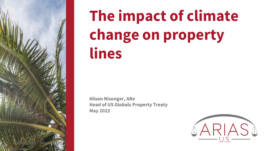

# **The impact of climate change on property lines**

**Alison Nisonger, ARe Head of US Globals Property Treaty May 2022**

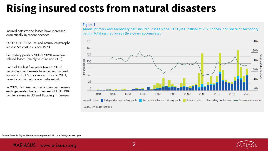## **Rising insured costs from natural disasters**

**Figure 1** 

Insured catastrophe losses have increased dramatically in recent decades

2020: USD 81 bn insured natural catastrophe losses; 5th costliest since 1970

Secondary perils >70% of 2020 weatherrelated losses (mainly wildfire and SCS)

Each of the last five years (except 2019) secondary peril events have caused insured losses of USD 5Bn or more. Prior to 2011, severity of this nature was unheard of.

In 2021, first year two secondary peril events each generated losses in excess of USD 10Bn (winter storms in US and flooding in Europe)

Annual primary and secondary peril insured losses since 1970 (USD billion) at 2020 prices, and share of secondary peril in total insured losses (five-years accumulated)



Source: Swiss Re Sigma: **Natural catastrophes in 2021: the floodgates are open.** 

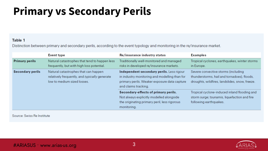## **Primary vs Secondary Perils**

### Table 1

Distinction between primary and secondary perils, according to the event typology and monitoring in the re/insurance market.

|                         | <b>Event type</b>                                                                                                    | Re/insurance industry status                                                                                                                                       | <b>Examples</b>                                                                                                                      |
|-------------------------|----------------------------------------------------------------------------------------------------------------------|--------------------------------------------------------------------------------------------------------------------------------------------------------------------|--------------------------------------------------------------------------------------------------------------------------------------|
| <b>Primary perils</b>   | Natural catastrophes that tend to happen less<br>frequently, but with high loss potential.                           | Traditionally well-monitored and managed<br>risks in developed re/insurance markets.                                                                               | Tropical cyclones, earthquakes, winter storms<br>in Europe.                                                                          |
| <b>Secondary perils</b> | Natural catastrophes that can happen<br>relatively frequently, and typically generate<br>low to medium sized losses. | Independent secondary perils. Less rigour<br>in industry monitoring and modelling than for<br>primary perils. Weaker exposure data capture<br>and claims tracking. | Severe convective storms (including<br>thunderstorms, hail and tornadoes), floods,<br>droughts, wildfires, landslides, snow, freeze. |
|                         |                                                                                                                      | Secondary-effects of primary perils.<br>Not always explicitly modelled alongside<br>the originating primary peril, less rigorous<br>monitoring.                    | Tropical cyclone-induced inland flooding and<br>storm surge; tsunamis, liquefaction and fire<br>following earthquakes.               |

Source: Swiss Re Institute

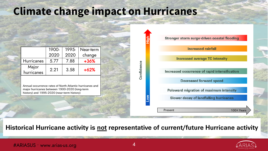## **Climate change impact on Hurricanes**

|                     | 1900- | 1995- | Near-term |
|---------------------|-------|-------|-----------|
|                     | 2020  | 2020  | change    |
| <b>Hurricanes</b>   | 5.77  | 7.88  | $+36%$    |
| Major<br>hurricanes | 2.21  | 3.58  | $+62%$    |
|                     |       |       |           |

Annual occurrence rates of North Atlantic hurricanes and major hurricanes between 1900-2020 (long-term history) and 1995-2020 (near-term history)



**Historical Hurricane activity is not representative of current/future Hurricane activity**

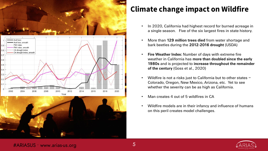





## **Climate change impact on Wildfire**

- In 2020, California had highest record for burned acreage in a single season. Five of the six largest fires in state history.
- More than **129 million trees died** from water shortage and bark beetles during the **2012-2016 drought** (USDA)
- **Fire Weather Index:** Number of days with extreme fire weather in California has **more than doubled since the early 1980s** and is projected to **increase throughout the remainder of the century** (Goss et al., 2020)
- Wildfire is not a risks just to California but to other states  $-$ Colorado, Oregon, New Mexico, Arizona, etc. Yet to see whether the severity can be as high as California.
- Man creates 4 out of 5 wildfires in CA
- Wildfire models are in their infancy and influence of humans on this peril creates model challenges.



### #ARIASUS • www.arias-us.org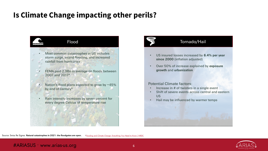## **Is Climate Change impacting other perils?**





- US insured losses increased by **6.4% per year since 2000** (inflation adjusted)
- Over 50% of increase explained by **exposure growth** and **urbanization**

### Potential Climate factors:

- Increase in # of twisters in a single event
- Shift of severe events across central and eastern US
- Hail may be influenced by warmer temps





### #ARIASUS • www.arias-us.org